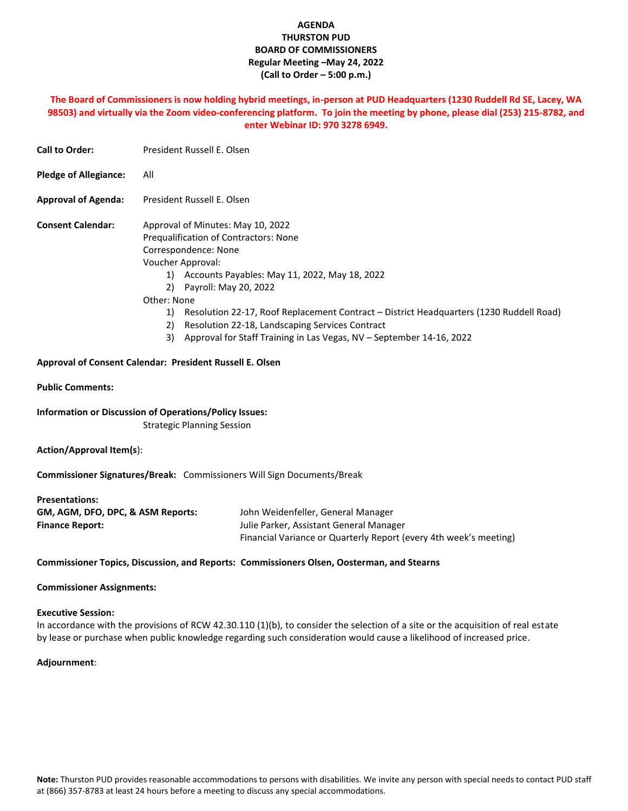## **AGENDA THURSTON PUD BOARD OF COMMISSIONERS Regular Meeting –May 24, 2022 (Call to Order – 5:00 p.m.)**

### **The Board of Commissioners is now holding hybrid meetings, in-person at PUD Headquarters (1230 Ruddell Rd SE, Lacey, WA 98503) and virtually via the Zoom video-conferencing platform. To join the meeting by phone, please dial (253) 215-8782, and enter Webinar ID: 970 3278 6949.**

| <b>Call to Order:</b>                                                                | President Russell E. Olsen                                                                                                                                                                                                                                                                                                                                                                                                                                  |
|--------------------------------------------------------------------------------------|-------------------------------------------------------------------------------------------------------------------------------------------------------------------------------------------------------------------------------------------------------------------------------------------------------------------------------------------------------------------------------------------------------------------------------------------------------------|
| <b>Pledge of Allegiance:</b>                                                         | All                                                                                                                                                                                                                                                                                                                                                                                                                                                         |
| <b>Approval of Agenda:</b>                                                           | President Russell E. Olsen                                                                                                                                                                                                                                                                                                                                                                                                                                  |
| <b>Consent Calendar:</b>                                                             | Approval of Minutes: May 10, 2022<br>Prequalification of Contractors: None<br>Correspondence: None<br>Voucher Approval:<br>1) Accounts Payables: May 11, 2022, May 18, 2022<br>2) Payroll: May 20, 2022<br>Other: None<br>1) Resolution 22-17, Roof Replacement Contract - District Headquarters (1230 Ruddell Road)<br>Resolution 22-18, Landscaping Services Contract<br>2)<br>Approval for Staff Training in Las Vegas, NV - September 14-16, 2022<br>3) |
|                                                                                      | Approval of Consent Calendar: President Russell E. Olsen                                                                                                                                                                                                                                                                                                                                                                                                    |
| <b>Public Comments:</b>                                                              |                                                                                                                                                                                                                                                                                                                                                                                                                                                             |
|                                                                                      | <b>Information or Discussion of Operations/Policy Issues:</b><br><b>Strategic Planning Session</b>                                                                                                                                                                                                                                                                                                                                                          |
| <b>Action/Approval Item(s):</b>                                                      |                                                                                                                                                                                                                                                                                                                                                                                                                                                             |
|                                                                                      | Commissioner Signatures/Break: Commissioners Will Sign Documents/Break                                                                                                                                                                                                                                                                                                                                                                                      |
| <b>Presentations:</b><br>GM, AGM, DFO, DPC, & ASM Reports:<br><b>Finance Report:</b> | John Weidenfeller, General Manager<br>Julie Parker, Assistant General Manager<br>Financial Variance or Quarterly Report (every 4th week's meeting)                                                                                                                                                                                                                                                                                                          |
|                                                                                      | Commissioner Topics, Discussion, and Reports: Commissioners Olsen, Oosterman, and Stearns                                                                                                                                                                                                                                                                                                                                                                   |

#### **Commissioner Assignments:**

#### **Executive Session:**

In accordance with the provisions of RCW 42.30.110 (1)(b), to consider the selection of a site or the acquisition of real estate by lease or purchase when public knowledge regarding such consideration would cause a likelihood of increased price.

#### **Adjournment**: